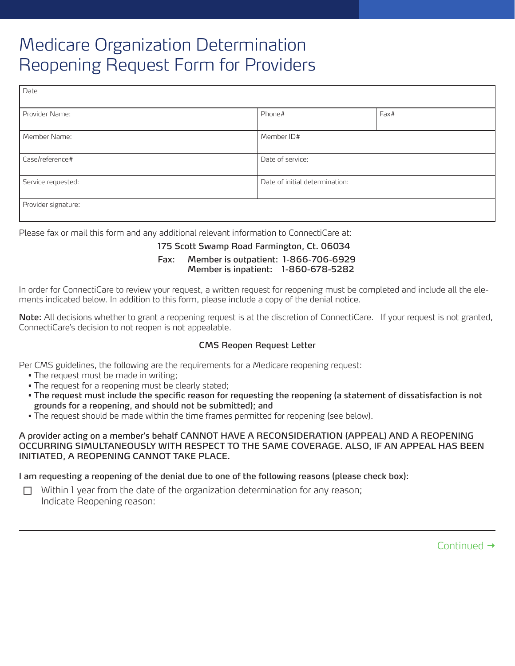# Medicare Organization Determination Reopening Request Form for Providers

| Date                |                                |      |
|---------------------|--------------------------------|------|
| Provider Name:      | Phone#                         | Fax# |
| Member Name:        | Member ID#                     |      |
| Case/reference#     | Date of service:               |      |
| Service requested:  | Date of initial determination: |      |
| Provider signature: |                                |      |

Please fax or mail this form and any additional relevant information to ConnectiCare at:

### 175 Scott Swamp Road Farmington, Ct. 06034

## Fax: Member is outpatient: 1-866-706-6929 Member is inpatient: 1-860-678-5282

In order for ConnectiCare to review your request, a written request for reopening must be completed and include all the elements indicated below. In addition to this form, please include a copy of the denial notice.

Note: All decisions whether to grant a reopening request is at the discretion of ConnectiCare. If your request is not granted, ConnectiCare's decision to not reopen is not appealable.

# CMS Reopen Request Letter

Per CMS guidelines, the following are the requirements for a Medicare reopening request:

- The request must be made in writing;
- The request for a reopening must be clearly stated;
- The request must include the specific reason for requesting the reopening (a statement of dissatisfaction is not grounds for a reopening, and should not be submitted); and
- The request should be made within the time frames permitted for reopening (see below).

#### A provider acting on a member's behalf CANNOT HAVE A RECONSIDERATION (APPEAL) AND A REOPENING OCCURRING SIMULTANEOUSLY WITH RESPECT TO THE SAME COVERAGE. ALSO, IF AN APPEAL HAS BEEN INITIATED, A REOPENING CANNOT TAKE PLACE.

# I am requesting a reopening of the denial due to one of the following reasons (please check box):

 $\Box$  Within 1 year from the date of the organization determination for any reason; Indicate Reopening reason:

Continued  $\rightarrow$